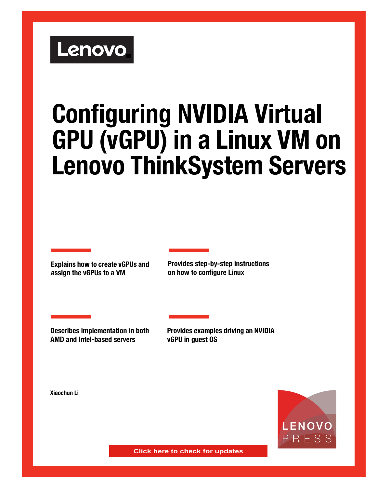# Lenovo

# **Configuring NVIDIA Virtual GPU (vGPU) in a Linux VM on Lenovo ThinkSystem Servers**

**Explains how to create vGPUs and assign the vGPUs to a VM**

**Provides step-by-step instructions on how to configure Linux**

**Describes implementation in both AMD and Intel-based servers**

**Provides examples driving an NVIDIA vGPU in guest OS**

**Xiaochun Li**



**Click here to check for updates**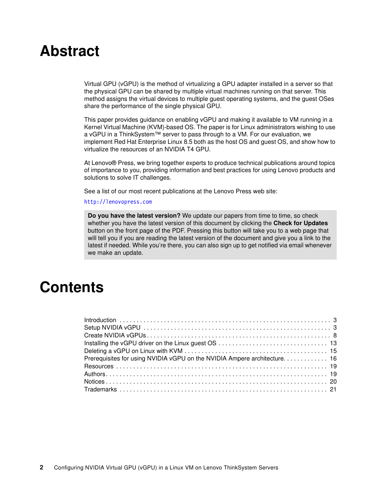# **Abstract**

Virtual GPU (vGPU) is the method of virtualizing a GPU adapter installed in a server so that the physical GPU can be shared by multiple virtual machines running on that server. This method assigns the virtual devices to multiple guest operating systems, and the guest OSes share the performance of the single physical GPU.

This paper provides guidance on enabling vGPU and making it available to VM running in a Kernel Virtual Machine (KVM)-based OS. The paper is for Linux administrators wishing to use a vGPU in a ThinkSystem™ server to pass through to a VM. For our evaluation, we implement Red Hat Enterprise Linux 8.5 both as the host OS and guest OS, and show how to virtualize the resources of an NVIDIA T4 GPU.

At Lenovo® Press, we bring together experts to produce technical publications around topics of importance to you, providing information and best practices for using Lenovo products and solutions to solve IT challenges.

See a list of our most recent publications at the Lenovo Press web site:

#### <http://lenovopress.com>

**Do you have the latest version?** We update our papers from time to time, so check whether you have the latest version of this document by clicking the **Check for Updates** button on the front page of the PDF. Pressing this button will take you to a web page that will tell you if you are reading the latest version of the document and give you a link to the latest if needed. While you're there, you can also sign up to get notified via email whenever we make an update.

# **Contents**

| Prerequisites for using NVIDIA vGPU on the NVIDIA Ampere architecture 16 |  |
|--------------------------------------------------------------------------|--|
|                                                                          |  |
|                                                                          |  |
|                                                                          |  |
|                                                                          |  |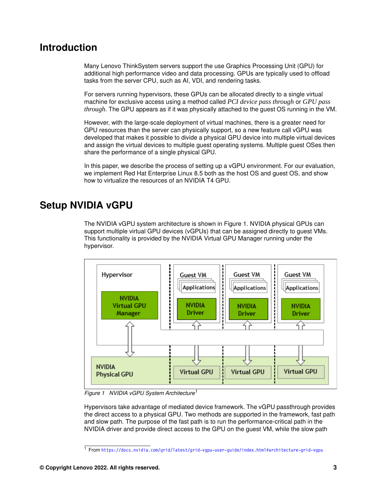# <span id="page-2-0"></span>**Introduction**

Many Lenovo ThinkSystem servers support the use Graphics Processing Unit (GPU) for additional high performance video and data processing. GPUs are typically used to offload tasks from the server CPU, such as AI, VDI, and rendering tasks.

For servers running hypervisors, these GPUs can be allocated directly to a single virtual machine for exclusive access using a method called *PCI device pass through* or *GPU pass through*. The GPU appears as if it was physically attached to the guest OS running in the VM.

However, with the large-scale deployment of virtual machines, there is a greater need for GPU resources than the server can physically support, so a new feature call vGPU was developed that makes it possible to divide a physical GPU device into multiple virtual devices and assign the virtual devices to multiple guest operating systems. Multiple guest OSes then share the performance of a single physical GPU.

In this paper, we describe the process of setting up a vGPU environment. For our evaluation, we implement Red Hat Enterprise Linux 8.5 both as the host OS and guest OS, and show how to virtualize the resources of an NVIDIA T4 GPU.

# <span id="page-2-1"></span>**Setup NVIDIA vGPU**

The NVIDIA vGPU system architecture is shown in [Figure 1.](#page-2-2) NVIDIA physical GPUs can support multiple virtual GPU devices (vGPUs) that can be assigned directly to guest VMs. This functionality is provided by the NVIDIA Virtual GPU Manager running under the hypervisor.



<span id="page-2-2"></span>*Figure 1 NVIDIA vGPU System Architecture<sup>1</sup>*

Hypervisors take advantage of mediated device framework. The vGPU passthrough provides the direct access to a physical GPU. Two methods are supported in the framework, fast path and slow path. The purpose of the fast path is to run the performance-critical path in the NVIDIA driver and provide direct access to the GPU on the guest VM, while the slow path

<sup>1</sup> From <https://docs.nvidia.com/grid/latest/grid-vgpu-user-guide/index.html#architecture-grid-vgpu>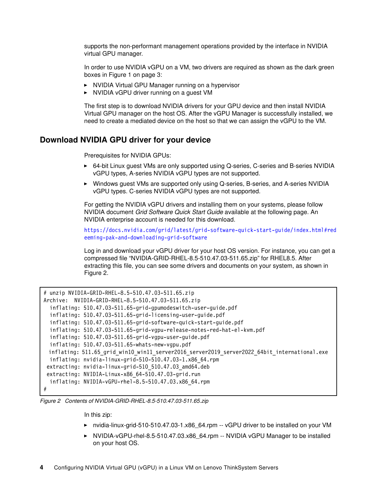supports the non-performant management operations provided by the interface in NVIDIA virtual GPU manager.

In order to use NVIDIA vGPU on a VM, two drivers are required as shown as the dark green boxes in [Figure 1 on page 3:](#page-2-2)

- NVIDIA Virtual GPU Manager running on a hypervisor
- NVIDIA vGPU driver running on a guest VM

The first step is to download NVIDIA drivers for your GPU device and then install NVIDIA Virtual GPU manager on the host OS. After the vGPU Manager is successfully installed, we need to create a mediated device on the host so that we can assign the vGPU to the VM.

#### <span id="page-3-1"></span>**Download NVIDIA GPU driver for your device**

Prerequisites for NVIDIA GPUs:

- ► 64-bit Linux guest VMs are only supported using Q-series, C-series and B-series NVIDIA vGPU types, A-series NVIDIA vGPU types are not supported.
- ► Windows guest VMs are supported only using Q-series, B-series, and A-series NVIDIA vGPU types. C-series NVIDIA vGPU types are not supported.

For getting the NVIDIA vGPU drivers and installing them on your systems, please follow NVIDIA document *Grid Software Quick Start Guide* available at the following page. An NVIDIA enterprise account is needed for this download.

[https://docs.nvidia.com/grid/latest/grid-software-quick-start-guide/index.html#red](https://docs.nvidia.com/grid/latest/grid-software-quick-start-guide/index.html#redeeming-pak-and-downloading-grid-software) [eeming-pak-and-downloading-grid-software](https://docs.nvidia.com/grid/latest/grid-software-quick-start-guide/index.html#redeeming-pak-and-downloading-grid-software)

Log in and download your vGPU driver for your host OS version. For instance, you can get a compressed file "NVIDIA-GRID-RHEL-8.5-510.47.03-511.65.zip" for RHEL8.5. After extracting this file, you can see some drivers and documents on your system, as shown in [Figure 2](#page-3-0).

```
# unzip NVIDIA-GRID-RHEL-8.5-510.47.03-511.65.zip 
Archive: NVIDIA-GRID-RHEL-8.5-510.47.03-511.65.zip
   inflating: 510.47.03-511.65-grid-gpumodeswitch-user-guide.pdf 
   inflating: 510.47.03-511.65-grid-licensing-user-guide.pdf 
   inflating: 510.47.03-511.65-grid-software-quick-start-guide.pdf 
   inflating: 510.47.03-511.65-grid-vgpu-release-notes-red-hat-el-kvm.pdf 
   inflating: 510.47.03-511.65-grid-vgpu-user-guide.pdf 
   inflating: 510.47.03-511.65-whats-new-vgpu.pdf 
 inflating: 511.65 grid win10 win11 server2016 server2019 server2022 64bit international.exe
   inflating: nvidia-linux-grid-510-510.47.03-1.x86_64.rpm 
  extracting: nvidia-linux-grid-510_510.47.03_amd64.deb 
  extracting: NVIDIA-Linux-x86_64-510.47.03-grid.run 
   inflating: NVIDIA-vGPU-rhel-8.5-510.47.03.x86_64.rpm 
#
```
<span id="page-3-0"></span>*Figure 2 Contents of NVIDIA-GRID-RHEL-8.5-510.47.03-511.65.zip*

In this zip:

- ► nvidia-linux-grid-510-510.47.03-1.x86\_64.rpm -- vGPU driver to be installed on your VM
- ► NVIDIA-vGPU-rhel-8.5-510.47.03.x86\_64.rpm -- NVIDIA vGPU Manager to be installed on your host OS.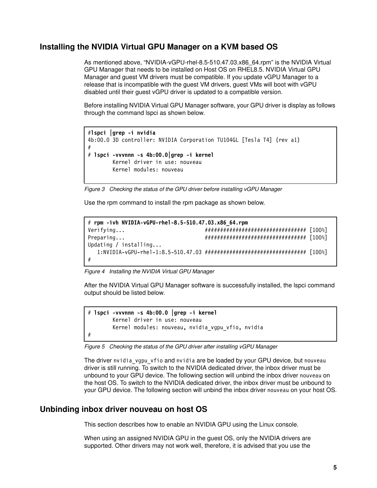#### **Installing the NVIDIA Virtual GPU Manager on a KVM based OS**

As mentioned above, "NVIDIA-vGPU-rhel-8.5-510.47.03.x86\_64.rpm" is the NVIDIA Virtual GPU Manager that needs to be installed on Host OS on RHEL8.5. NVIDIA Virtual GPU Manager and guest VM drivers must be compatible. If you update vGPU Manager to a release that is incompatible with the guest VM drivers, guest VMs will boot with vGPU disabled until their guest vGPU driver is updated to a compatible version.

Before installing NVIDIA Virtual GPU Manager software, your GPU driver is display as follows through the command lspci as shown below.

```
#lspci |grep -i nvidia
4b:00.0 3D controller: NVIDIA Corporation TU104GL [Tesla T4] (rev a1)
#
# lspci -vvvnnn -s 4b:00.0|grep -i kernel 
         Kernel driver in use: nouveau
         Kernel modules: nouveau
```
*Figure 3 Checking the status of the GPU driver before installing vGPU Manager*

Use the rpm command to install the rpm package as shown below.

```
# rpm -ivh NVIDIA-vGPU-rhel-8.5-510.47.03.x86_64.rpm
Verifying... ################################# [100%]
Preparing... ################################# [100%]
Updating / installing...
   1:NVIDIA-vGPU-rhel-1:8.5-510.47.03 ################################# [100%]
#
```
*Figure 4 Installing the NVIDIA Virtual GPU Manager*

After the NVIDIA Virtual GPU Manager software is successfully installed, the lspci command output should be listed below.

# **lspci -vvvnnn -s 4b:00.0 |grep -i kernel** Kernel driver in use: nouveau Kernel modules: nouveau, nvidia\_vgpu\_vfio, nvidia #

*Figure 5 Checking the status of the GPU driver after installing vGPU Manager*

The driver nvidia vgpu vfio and nvidia are be loaded by your GPU device, but nouveau driver is still running. To switch to the NVIDIA dedicated driver, the inbox driver must be unbound to your GPU device. The following section will unbind the inbox driver nouveau on the host OS. To switch to the NVIDIA dedicated driver, the inbox driver must be unbound to your GPU device. The following section will unbind the inbox driver nouveau on your host OS.

#### <span id="page-4-0"></span>**Unbinding inbox driver nouveau on host OS**

This section describes how to enable an NVIDIA GPU using the Linux console.

When using an assigned NVIDIA GPU in the guest OS, only the NVIDIA drivers are supported. Other drivers may not work well, therefore, it is advised that you use the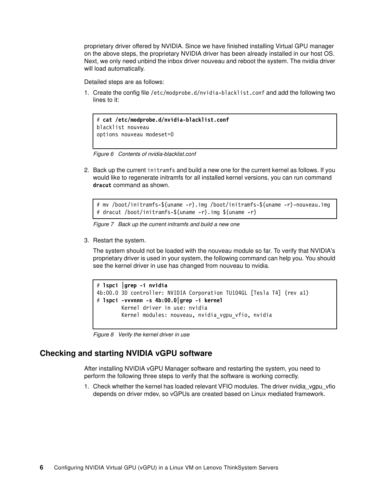proprietary driver offered by NVIDIA. Since we have finished installing Virtual GPU manager on the above steps, the proprietary NVIDIA driver has been already installed in our host OS. Next, we only need unbind the inbox driver nouveau and reboot the system. The nvidia driver will load automatically.

Detailed steps are as follows:

1. Create the config file /etc/modprobe.d/nvidia-blacklist.conf and add the following two lines to it:

```
# cat /etc/modprobe.d/nvidia-blacklist.conf
blacklist nouveau
options nouveau modeset=0
```
*Figure 6 Contents of nvidia-blacklist.conf*

2. Back up the current initramfs and build a new one for the current kernel as follows. If you would like to regenerate initramfs for all installed kernel versions, you can run command **dracut** command as shown.

```
# mv /boot/initramfs-$(uname -r).img /boot/initramfs-$(uname -r)-nouveau.img 
# dracut /boot/initramfs-$(uname -r).img $(uname -r)
```
*Figure 7 Back up the current initramfs and build a new one*

3. Restart the system.

The system should not be loaded with the nouveau module so far. To verify that NVIDIA's proprietary driver is used in your system, the following command can help you. You should see the kernel driver in use has changed from nouveau to nvidia.

```
# lspci |grep -i nvidia
4b:00.0 3D controller: NVIDIA Corporation TU104GL [Tesla T4] (rev a1)
# lspci -vvvnnn -s 4b:00.0|grep -i kernel 
         Kernel driver in use: nvidia
        Kernel modules: nouveau, nvidia vgpu vfio, nvidia
```
*Figure 8 Verify the kernel driver in use*

#### **Checking and starting NVIDIA vGPU software**

After installing NVIDIA vGPU Manager software and restarting the system, you need to perform the following three steps to verify that the software is working correctly.

1. Check whether the kernel has loaded relevant VFIO modules. The driver nvidia\_vgpu\_vfio depends on driver mdev, so vGPUs are created based on Linux mediated framework.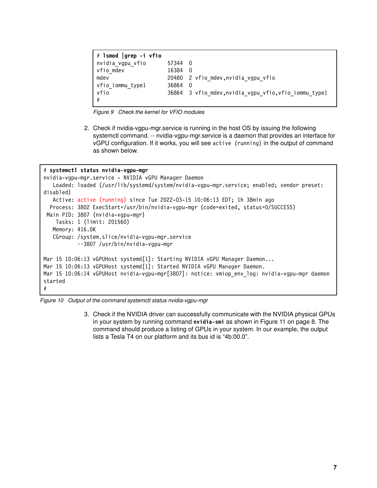```
# lsmod |grep -i vfio
nvidia vgpu vfio 57344 0
vfio mdev 16384 0
mdev 20480 2 vfio_mdev,nvidia_vgpu_vfio
vfio iommu type1 36864 0
vfio 36864 3 vfiomdev,nvidia vgpu vfio,vfio iommu type1
#
```
*Figure 9 Check the kernel for VFIO modules*

2. Check if nvidia-vgpu-mgr.service is running in the host OS by issuing the following systemctl command. -- nvidia-vgpu-mgr.service is a daemon that provides an interface for vGPU configuration. If it works, you will see active (running) in the output of command as shown below.

#### # **systemctl status nvidia-vgpu-mgr**

```
nvidia-vgpu-mgr.service - NVIDIA vGPU Manager Daemon
   Loaded: loaded (/usr/lib/systemd/system/nvidia-vgpu-mgr.service; enabled; vendor preset:
disabled)
    Active: active (running) since Tue 2022-03-15 10:06:13 EDT; 1h 38min ago
   Process: 3802 ExecStart=/usr/bin/nvidia-vgpu-mgr (code=exited, status=0/SUCCESS)
  Main PID: 3807 (nvidia-vgpu-mgr)
     Tasks: 1 (limit: 201560)
    Memory: 416.0K
    CGroup: /system.slice/nvidia-vgpu-mgr.service
            ••3807 /usr/bin/nvidia-vgpu-mgr
Mar 15 10:06:13 vGPUHost systemd[1]: Starting NVIDIA vGPU Manager Daemon...
Mar 15 10:06:13 vGPUHost systemd[1]: Started NVIDIA vGPU Manager Daemon.
Mar 15 10:06:14 vGPUHost nvidia-vgpu-mgr[3807]: notice: vmiop_env_log: nvidia-vgpu-mgr daemon 
started
#
```
*Figure 10 Output of the command systemctl status nvidia-vgpu-mgr*

3. Check if the NVIDIA driver can successfully communicate with the NVIDIA physical GPUs in your system by running command **nvidia-smi** as shown in [Figure 11 on page 8.](#page-7-1) The command should produce a listing of GPUs in your system. In our example, the output lists a Tesla T4 on our platform and its bus id is "4b:00.0".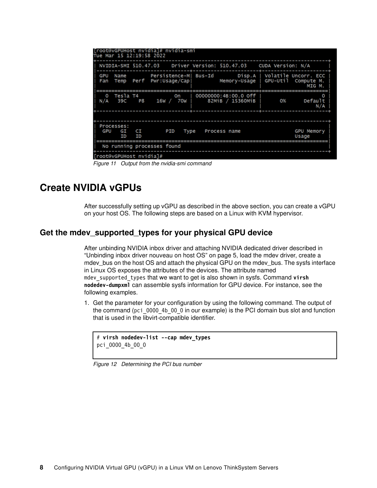| [root@vGPUHost nvidia]# nvidia-smi                                                                                                                                                                                                                                                                             |                            |
|----------------------------------------------------------------------------------------------------------------------------------------------------------------------------------------------------------------------------------------------------------------------------------------------------------------|----------------------------|
| Tue Mar 15 12:19:58 2022                                                                                                                                                                                                                                                                                       |                            |
|                                                                                                                                                                                                                                                                                                                |                            |
| NVIDIA-SMI 510.47.03 Driver Version: 510.47.03 CUDA Version: N/A                                                                                                                                                                                                                                               |                            |
| Persistence-M  Bus-Id Disp.A   Volatile Uncorr. ECC<br>GPU<br>Name<br>Temp Perf Pwr:Usage/Capl<br>Memory-Usage   GPU-Util Compute M.<br>Fan                                                                                                                                                                    | MIG M.                     |
| Tesla T4<br>00000000:4B:00.0 off<br><b>Solution</b> is a set on the set of the set of the set of the set of the set of the set of the set of the set of the set of the set of the set of the set of the set of the set of the set of the set of the set of the set of t<br>$\Omega$<br>82МіВ / 15360МіВ<br>N/A | 0%<br>Default<br>N/A       |
|                                                                                                                                                                                                                                                                                                                |                            |
| Processes:<br>PID<br>GPU GI<br>CL<br>Type Process name<br>ΙD<br>ΙD                                                                                                                                                                                                                                             | <b>GPU Memory</b><br>Usage |
| No running processes found                                                                                                                                                                                                                                                                                     |                            |
| [root@vGPUHost nvidia]#                                                                                                                                                                                                                                                                                        |                            |

<span id="page-7-1"></span>*Figure 11 Output from the nvidia-smi command*

## <span id="page-7-0"></span>**Create NVIDIA vGPUs**

After successfully setting up vGPU as described in the above section, you can create a vGPU on your host OS. The following steps are based on a Linux with KVM hypervisor.

#### <span id="page-7-2"></span>**Get the mdev\_supported\_types for your physical GPU device**

After unbinding NVIDIA inbox driver and attaching NVIDIA dedicated driver described in ["Unbinding inbox driver nouveau on host OS" on page 5](#page-4-0), load the mdev driver, create a mdev\_bus on the host OS and attach the physical GPU on the mdev\_bus. The sysfs interface in Linux OS exposes the attributes of the devices. The attribute named mdev supported types that we want to get is also shown in sysfs. Command virsh **nodedev-dumpxml** can assemble sysfs information for GPU device. For instance, see the following examples.

1. Get the parameter for your configuration by using the following command. The output of the command (pci 0000 4b 00 0 in our example) is the PCI domain bus slot and function that is used in the libvirt-compatible identifier.

```
# virsh nodedev-list --cap mdev_types
pci_0000_4b_00_0
```
*Figure 12 Determining the PCI bus number*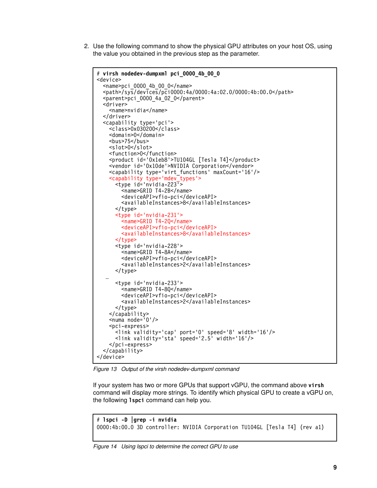2. Use the following command to show the physical GPU attributes on your host OS, using the value you obtained in the previous step as the parameter.

```
# virsh nodedev-dumpxml pci_0000_4b_00_0
<device>
  <name>pci 0000 4b 00 0</name> <path>/sys/devices/pci0000:4a/0000:4a:02.0/0000:4b:00.0</path>
   <parent>pci_0000_4a_02_0</parent>
   <driver>
     <name>nvidia</name>
   </driver>
   <capability type='pci'>
     <class>0x030200</class>
     <domain>0</domain>
     <bus>75</bus>
     <slot>0</slot>
     <function>0</function>
     <product id='0x1eb8'>TU104GL [Tesla T4]</product>
     <vendor id='0x10de'>NVIDIA Corporation</vendor>
     <capability type='virt_functions' maxCount='16'/>
     <capability type='mdev_types'>
      <type id='nvidia-223\overline{b} <name>GRID T4-2B</name>
         <deviceAPI>vfio-pci</deviceAPI>
         <availableInstances>8</availableInstances>
       </type>
       <type id='nvidia-231'>
         <name>GRID T4-2Q</name>
         <deviceAPI>vfio-pci</deviceAPI>
         <availableInstances>8</availableInstances>
       </type>
       <type id='nvidia-228'>
         <name>GRID T4-8A</name>
         <deviceAPI>vfio-pci</deviceAPI>
         <availableInstances>2</availableInstances>
       </type>
   …
       <type id='nvidia-233'>
         <name>GRID T4-8Q</name>
         <deviceAPI>vfio-pci</deviceAPI>
         <availableInstances>2</availableInstances>
       </type>
     </capability>
    \leqnuma node='0'/\geq <pci-express>
 <link validity='cap' port='0' speed='8' width='16'/>
 <link validity='sta' speed='2.5' width='16'/>
     </pci-express>
   </capability>
</device>
```
<span id="page-8-0"></span>*Figure 13 Output of the virsh nodedev-dumpxml command*

If your system has two or more GPUs that support vGPU, the command above **virsh** command will display more strings. To identify which physical GPU to create a vGPU on, the following **lspci** command can help you.

```
# lspci -D |grep -i nvidia
0000:4b:00.0 3D controller: NVIDIA Corporation TU104GL [Tesla T4] (rev a1)
```
*Figure 14 Using lspci to determine the correct GPU to use*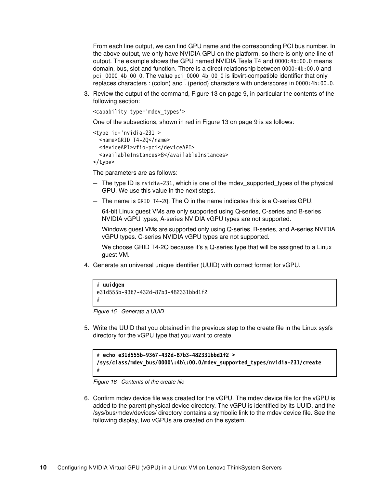From each line output, we can find GPU name and the corresponding PCI bus number. In the above output, we only have NVIDIA GPU on the platform, so there is only one line of output. The example shows the GPU named NVIDIA Tesla T4 and 0000:4b:00.0 means domain, bus, slot and function. There is a direct relationship between 0000:4b:00.0 and pci\_0000\_4b\_00\_0. The value pci\_0000\_4b\_00\_0 is libvirt-compatible identifier that only replaces characters : (colon) and . (period) characters with underscores in 0000:4b:00.0.

3. Review the output of the command, [Figure 13 on page 9,](#page-8-0) in particular the contents of the following section:

```
<capability type='mdev_types'>
```
One of the subsections, shown in red in [Figure 13 on page 9](#page-8-0) is as follows:

```
<type id='nvidia-231'>
   <name>GRID T4-2Q</name>
   <deviceAPI>vfio-pci</deviceAPI>
   <availableInstances>8</availableInstances>
```
</type>

The parameters are as follows:

- The type ID is nvidia-231, which is one of the mdev\_supported\_types of the physical GPU. We use this value in the next steps.
- The name is GRID T4-2Q. The Q in the name indicates this is a Q-series GPU.

64-bit Linux guest VMs are only supported using Q-series, C-series and B-series NVIDIA vGPU types, A-series NVIDIA vGPU types are not supported.

Windows guest VMs are supported only using Q-series, B-series, and A-series NVIDIA vGPU types. C-series NVIDIA vGPU types are not supported.

We choose GRID T4-2Q because it's a Q-series type that will be assigned to a Linux guest VM.

4. Generate an universal unique identifier (UUID) with correct format for vGPU.

```
# uuidgen
e31d555b-9367-432d-87b3-482331bbd1f2
#
```
*Figure 15 Generate a UUID*

5. Write the UUID that you obtained in the previous step to the create file in the Linux sysfs directory for the vGPU type that you want to create.

```
# echo e31d555b-9367-432d-87b3-482331bbd1f2 > 
/sys/class/mdev_bus/0000\:4b\:00.0/mdev_supported_types/nvidia-231/create
#
```
*Figure 16 Contents of the create file*

6. Confirm mdev device file was created for the vGPU. The mdev device file for the vGPU is added to the parent physical device directory. The vGPU is identified by its UUID, and the /sys/bus/mdev/devices/ directory contains a symbolic link to the mdev device file. See the following display, two vGPUs are created on the system.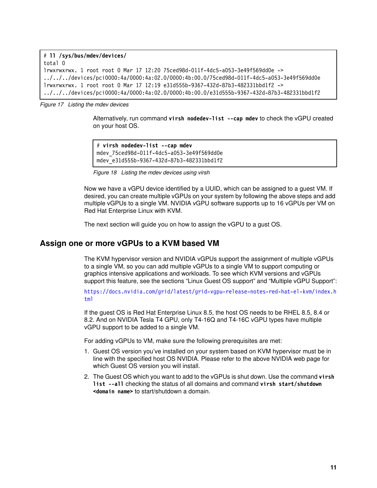```
# ll /sys/bus/mdev/devices/
total 0
lrwxrwxrwx. 1 root root 0 Mar 17 12:20 75ced98d-011f-4dc5-a053-3e49f569dd0e -> 
../../../devices/pci0000:4a/0000:4a:02.0/0000:4b:00.0/75ced98d-011f-4dc5-a053-3e49f569dd0e
lrwxrwxrwx. 1 root root 0 Mar 17 12:19 e31d555b-9367-432d-87b3-482331bbd1f2 -> 
../../../devices/pci0000:4a/0000:4a:02.0/0000:4b:00.0/e31d555b-9367-432d-87b3-482331bbd1f2
```
*Figure 17 Listing the mdev devices*

Alternatively, run command **virsh nodedev-list --cap mdev** to check the vGPU created on your host OS.

```
# virsh nodedev-list --cap mdev
mdev_75ced98d-011f-4dc5-a053-3e49f569dd0e
mdev_e31d555b-9367-432d-87b3-482331bbd1f2
```
*Figure 18 Listing the mdev devices using virsh*

Now we have a vGPU device identified by a UUID, which can be assigned to a guest VM. If desired, you can create multiple vGPUs on your system by following the above steps and add multiple vGPUs to a single VM. NVIDIA vGPU software supports up to 16 vGPUs per VM on Red Hat Enterprise Linux with KVM.

The next section will guide you on how to assign the vGPU to a gust OS.

#### **Assign one or more vGPUs to a KVM based VM**

The KVM hypervisor version and NVIDIA vGPUs support the assignment of multiple vGPUs to a single VM, so you can add multiple vGPUs to a single VM to support computing or graphics intensive applications and workloads. To see which KVM versions and vGPUs support this feature, see the sections "Linux Guest OS support" and "Multiple vGPU Support":

[https://docs.nvidia.com/grid/latest/grid-vgpu-release-notes-red-hat-el-kvm/index.h](https://docs.nvidia.com/grid/latest/grid-vgpu-release-notes-red-hat-el-kvm/index.html) [tml](https://docs.nvidia.com/grid/latest/grid-vgpu-release-notes-red-hat-el-kvm/index.html)

If the guest OS is Red Hat Enterprise Linux 8.5, the host OS needs to be RHEL 8.5, 8.4 or 8.2. And on NVIDIA Tesla T4 GPU, only T4-16Q and T4-16C vGPU types have multiple vGPU support to be added to a single VM.

For adding vGPUs to VM, make sure the following prerequisites are met:

- 1. Guest OS version you've installed on your system based on KVM hypervisor must be in line with the specified host OS NVIDIA. Please refer to the above NVIDIA web page for which Guest OS version you will install.
- 2. The Guest OS which you want to add to the vGPUs is shut down. Use the command **virsh list --all** checking the status of all domains and command **virsh start/shutdown <domain name>** to start/shutdown a domain.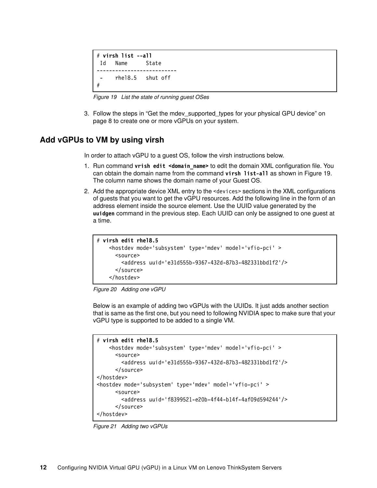```
# virsh list --all
 Id Name State
          --------------------------
       - rhel8.5 shut off
#
```
<span id="page-11-0"></span>*Figure 19 List the state of running guest OSes*

3. Follow the steps in "Get the mdev supported types for your physical GPU device" on [page 8](#page-7-2) to create one or more vGPUs on your system.

#### **Add vGPUs to VM by using virsh**

In order to attach vGPU to a guest OS, follow the virsh instructions below.

- 1. Run command **vrish edit <domain\_name>** to edit the domain XML configuration file. You can obtain the domain name from the command **virsh list-all** as shown in [Figure 19.](#page-11-0) The column name shows the domain name of your Guest OS.
- 2. Add the appropriate device XML entry to the <devices> sections in the XML configurations of guests that you want to get the vGPU resources. Add the following line in the form of an address element inside the source element. Use the UUID value generated by the **uuidgen** command in the previous step. Each UUID can only be assigned to one guest at a time.

```
# virsh edit rhel8.5
    <hostdev mode='subsystem' type='mdev' model='vfio-pci' >
       <source>
         <address uuid='e31d555b-9367-432d-87b3-482331bbd1f2'/>
       </source>
     </hostdev>
```


Below is an example of adding two vGPUs with the UUIDs. It just adds another section that is same as the first one, but you need to following NVIDIA spec to make sure that your vGPU type is supported to be added to a single VM.

```
# virsh edit rhel8.5
     <hostdev mode='subsystem' type='mdev' model='vfio-pci' >
       <source>
         <address uuid='e31d555b-9367-432d-87b3-482331bbd1f2'/>
       </source>
</hostdev>
<hostdev mode='subsystem' type='mdev' model='vfio-pci' >
       <source>
         <address uuid='f8399521-e20b-4f44-b14f-4af09d594244'/>
       </source>
</hostdev>
```
*Figure 21 Adding two vGPUs*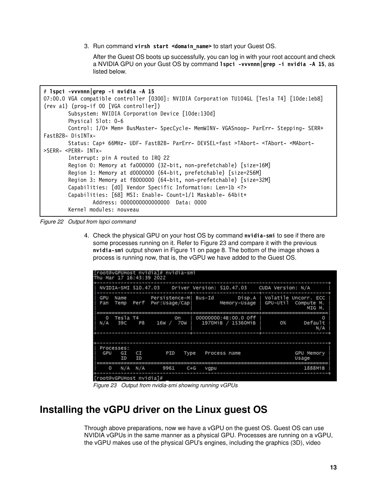3. Run command **virsh start <domain\_name>** to start your Guest OS.

After the Guest OS boots up successfully, you can log in with your root account and check a NVIDIA GPU on your Gust OS by command **lspci -vvvnnn|grep -i nvidia -A 15**, as listed below.

```
# lspci -vvvnnn|grep -i nvidia -A 15
07:00.0 VGA compatible controller [0300]: NVIDIA Corporation TU104GL [Tesla T4] [10de:1eb8] 
(rev a1) (prog-if 00 [VGA controller])
        Subsystem: NVIDIA Corporation Device [10de:130d]
         Physical Slot: 0-6
         Control: I/O+ Mem+ BusMaster- SpecCycle- MemWINV- VGASnoop- ParErr- Stepping- SERR+ 
FastB2B- DisINTx-
         Status: Cap+ 66MHz- UDF- FastB2B- ParErr- DEVSEL=fast >TAbort- <TAbort- <MAbort- 
>SERR- <PERR- INTx-
         Interrupt: pin A routed to IRQ 22
         Region 0: Memory at fa000000 (32-bit, non-prefetchable) [size=16M]
         Region 1: Memory at d0000000 (64-bit, prefetchable) [size=256M]
         Region 3: Memory at f8000000 (64-bit, non-prefetchable) [size=32M]
         Capabilities: [d0] Vendor Specific Information: Len=1b <?>
         Capabilities: [68] MSI: Enable- Count=1/1 Maskable- 64bit+
                 Address: 0000000000000000 Data: 0000
         Kernel modules: nouveau
```
*Figure 22 Output from lspci command*

4. Check the physical GPU on your host OS by command **nvidia-smi** to see if there are some processes running on it. Refer to [Figure 23](#page-12-1) and compare it with the previous **nvidia-smi** output shown in [Figure 11 on page 8](#page-7-1). The bottom of the image shows a process is running now, that is, the vGPU we have added to the Guest OS.

| [root@vGPUHost nvidia]# nvidia-smi<br>Thu Mar 17 16:43:39 2022 |                        |          |                                                                                                                                                                                                                                     |         |                                |              |                      |                                                                  |                                                                                                             |  |
|----------------------------------------------------------------|------------------------|----------|-------------------------------------------------------------------------------------------------------------------------------------------------------------------------------------------------------------------------------------|---------|--------------------------------|--------------|----------------------|------------------------------------------------------------------|-------------------------------------------------------------------------------------------------------------|--|
|                                                                |                        |          |                                                                                                                                                                                                                                     |         |                                |              |                      | NVIDIA-SMI 510.47.03 Driver Version: 510.47.03 CUDA Version: N/A |                                                                                                             |  |
| GPU<br>Fan                                                     | Name                   |          | Temp Perf Pwr:Usage/Capl                                                                                                                                                                                                            |         |                                |              |                      |                                                                  | Persistence-M  Bus-Id         Disp.A   Volatile Uncorr. ECC<br>Memory-Usage   GPU-Util Compute M.<br>MIG M. |  |
| $\Omega$<br>N/A                                                | Tesla T4<br>39C P8     |          | <b>Solution</b> is a set of the set of the set of the set of the set of the set of the set of the set of the set of the set of the set of the set of the set of the set of the set of the set of the set of the set of the set of t |         | 16W / 70W   1970MiB / 15360MiB |              | 00000000:4B:00.0 off | 0%                                                               | o<br>Default<br>N/A                                                                                         |  |
|                                                                |                        |          |                                                                                                                                                                                                                                     |         |                                |              |                      |                                                                  |                                                                                                             |  |
| GPU                                                            | Processes:<br>GI<br>ΙD | CI<br>ΙD | PID                                                                                                                                                                                                                                 | Type    |                                | Process name |                      |                                                                  | <b>GPU Memory</b><br>Usage                                                                                  |  |
| O                                                              | N/A N/A                |          | 9961                                                                                                                                                                                                                                | $C + G$ | vgpu                           |              |                      |                                                                  | 1888M1B                                                                                                     |  |
| $Tr\left(\frac{1}{2}a\right)$                                  |                        |          |                                                                                                                                                                                                                                     |         |                                |              |                      |                                                                  |                                                                                                             |  |

<span id="page-12-1"></span>*Figure 23 Output from nvidia-smi showing running vGPUs*

## <span id="page-12-0"></span>**Installing the vGPU driver on the Linux guest OS**

Through above preparations, now we have a vGPU on the guest OS. Guest OS can use NVIDIA vGPUs in the same manner as a physical GPU. Processes are running on a vGPU, the vGPU makes use of the physical GPU's engines, including the graphics (3D), video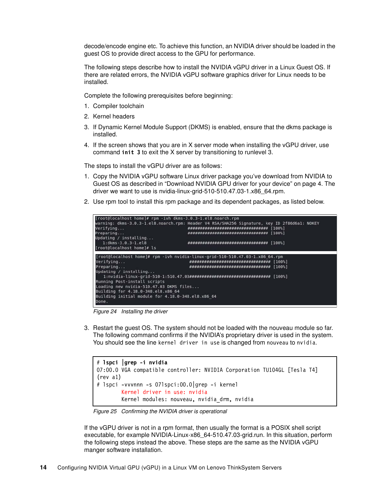decode/encode engine etc. To achieve this function, an NVIDIA driver should be loaded in the guest OS to provide direct access to the GPU for performance.

The following steps describe how to install the NVIDIA vGPU driver in a Linux Guest OS. If there are related errors, the NVIDIA vGPU software graphics driver for Linux needs to be installed.

Complete the following prerequisites before beginning:

- 1. Compiler toolchain
- 2. Kernel headers
- 3. If Dynamic Kernel Module Support (DKMS) is enabled, ensure that the dkms package is installed.
- 4. If the screen shows that you are in X server mode when installing the vGPU driver, use command **init 3** to exit the X server by transitioning to runlevel 3.

The steps to install the vGPU driver are as follows:

- 1. Copy the NVIDIA vGPU software Linux driver package you've download from NVIDIA to Guest OS as described in ["Download NVIDIA GPU driver for your device" on page 4.](#page-3-1) The driver we want to use is nvidia-linux-grid-510-510.47.03-1.x86\_64.rpm.
- 2. Use rpm tool to install this rpm package and its dependent packages, as listed below.



*Figure 24 Installing the driver*

3. Restart the guest OS. The system should not be loaded with the nouveau module so far. The following command confirms if the NVIDIA's proprietary driver is used in the system. You should see the line kernel driver in use is changed from nouveau to nvidia.

```
# lspci |grep -i nvidia
07:00.0 VGA compatible controller: NVIDIA Corporation TU104GL [Tesla T4] 
(rev a1)
# lspci -vvvnnn -s 07lspci:00.0|grep -i kernel 
         Kernel driver in use: nvidia
         Kernel modules: nouveau, nvidia_drm, nvidia
```
*Figure 25 Confirming the NVIDIA driver is operational*

If the vGPU driver is not in a rpm format, then usually the format is a POSIX shell script executable, for example NVIDIA-Linux-x86\_64-510.47.03-grid.run. In this situation, perform the following steps instead the above. These steps are the same as the NVIDIA vGPU manger software installation.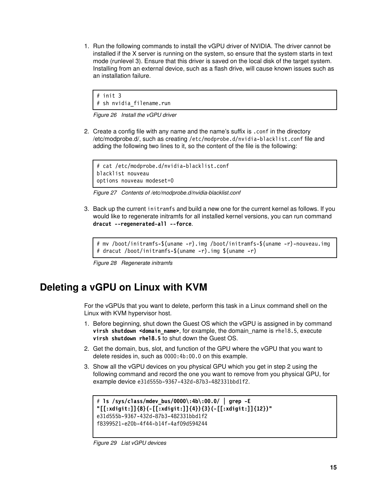1. Run the following commands to install the vGPU driver of NVIDIA. The driver cannot be installed if the X server is running on the system, so ensure that the system starts in text mode (runlevel 3). Ensure that this driver is saved on the local disk of the target system. Installing from an external device, such as a flash drive, will cause known issues such as an installation failure.

# init 3 # sh nvidia\_filename.run

*Figure 26 Install the vGPU driver*

2. Create a config file with any name and the name's suffix is .conf in the directory /etc/modprobe.d/, such as creating /etc/modprobe.d/nvidia-blacklist.conf file and adding the following two lines to it, so the content of the file is the following:

```
# cat /etc/modprobe.d/nvidia-blacklist.conf 
blacklist nouveau
options nouveau modeset=0
```
*Figure 27 Contents of /etc/modprobe.d/nvidia-blacklist.conf*

3. Back up the current initramfs and build a new one for the current kernel as follows. If you would like to regenerate initramfs for all installed kernel versions, you can run command **dracut --regenerated-all --force**.

# mv /boot/initramfs-\$(uname -r).img /boot/initramfs-\$(uname -r)-nouveau.img # dracut /boot/initramfs-\$(uname -r).img \$(uname -r)

*Figure 28 Regenerate initramfs*

# <span id="page-14-0"></span>**Deleting a vGPU on Linux with KVM**

For the vGPUs that you want to delete, perform this task in a Linux command shell on the Linux with KVM hypervisor host.

- 1. Before beginning, shut down the Guest OS which the vGPU is assigned in by command **virsh shutdown <domain\_name>**, for example, the domain\_name is rhel8.5, execute **virsh shutdown rhel8.5** to shut down the Guest OS.
- 2. Get the domain, bus, slot, and function of the GPU where the vGPU that you want to delete resides in, such as 0000:4b:00.0 on this example.
- 3. Show all the vGPU devices on you physical GPU which you get in step 2 using the following command and record the one you want to remove from you physical GPU, for example device e31d555b-9367-432d-87b3-482331bbd1f2.

```
# ls /sys/class/mdev_bus/0000\:4b\:00.0/ | grep -E 
"[[:xdigit:]]{8}(-[[:xdigit:]]{4}){3}(-[[:xdigit:]]{12})"
e31d555b-9367-432d-87b3-482331bbd1f2
f8399521-e20b-4f44-b14f-4af09d594244
```
*Figure 29 List vGPU devices*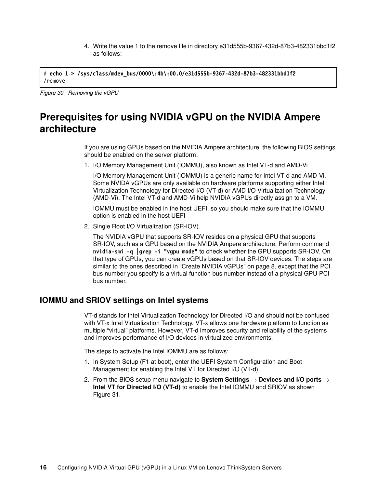4. Write the value 1 to the remove file in directory e31d555b-9367-432d-87b3-482331bbd1f2 as follows:

# **echo 1 > /sys/class/mdev\_bus/0000\:4b\:00.0/e31d555b-9367-432d-87b3-482331bbd1f2** /remove

*Figure 30 Removing the vGPU*

# <span id="page-15-0"></span>**Prerequisites for using NVIDIA vGPU on the NVIDIA Ampere architecture**

If you are using GPUs based on the NVIDIA Ampere architecture, the following BIOS settings should be enabled on the server platform:

1. I/O Memory Management Unit (IOMMU), also known as Intel VT-d and AMD-Vi

I/O Memory Management Unit (IOMMU) is a generic name for Intel VT-d and AMD-Vi. Some NVIDA vGPUs are only available on hardware platforms supporting either Intel Virtualization Technology for Directed I/O (VT-d) or AMD I/O Virtualization Technology (AMD-Vi). The Intel VT-d and AMD-Vi help NVIDIA vGPUs directly assign to a VM.

IOMMU must be enabled in the host UEFI, so you should make sure that the IOMMU option is enabled in the host UEFI

2. Single Root I/O Virtualization (SR-IOV).

The NVIDIA vGPU that supports SR-IOV resides on a physical GPU that supports SR-IOV, such as a GPU based on the NVIDIA Ampere architecture. Perform command **nvidia-smi -q |grep -i "vgpu mode"** to check whether the GPU supports SR-IOV. On that type of GPUs, you can create vGPUs based on that SR-IOV devices. The steps are similar to the ones described in ["Create NVIDIA vGPUs" on page 8](#page-7-0), except that the PCI bus number you specify is a virtual function bus number instead of a physical GPU PCI bus number.

#### **IOMMU and SRIOV settings on Intel systems**

VT-d stands for Intel Virtualization Technology for Directed I/O and should not be confused with VT-x Intel Virtualization Technology. VT-x allows one hardware platform to function as multiple "virtual" platforms. However, VT-d improves security and reliability of the systems and improves performance of I/O devices in virtualized environments.

The steps to activate the Intel IOMMU are as follows:

- 1. In System Setup (F1 at boot), enter the UEFI System Configuration and Boot Management for enabling the Intel VT for Directed I/O (VT-d).
- 2. From the BIOS setup menu navigate to **System Settings** → **Devices and I/O ports** → **Intel VT for Directed I/O (VT-d)** to enable the Intel IOMMU and SRIOV as shown [Figure 31](#page-16-0).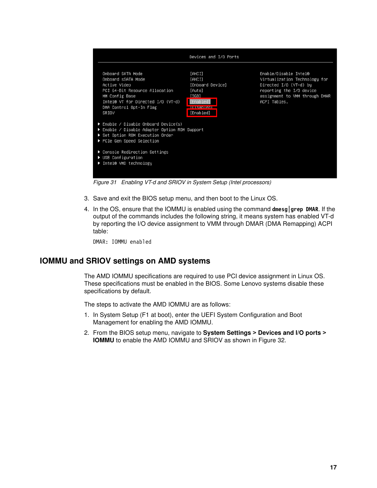

<span id="page-16-0"></span>*Figure 31 Enabling VT-d and SRIOV in System Setup (Intel processors)*

- 3. Save and exit the BIOS setup menu, and then boot to the Linux OS.
- 4. In the OS, ensure that the IOMMU is enabled using the command **dmesg|grep DMAR**. If the output of the commands includes the following string, it means system has enabled VT-d by reporting the I/O device assignment to VMM through DMAR (DMA Remapping) ACPI table:

DMAR: IOMMU enabled

#### **IOMMU and SRIOV settings on AMD systems**

The AMD IOMMU specifications are required to use PCI device assignment in Linux OS. These specifications must be enabled in the BIOS. Some Lenovo systems disable these specifications by default.

The steps to activate the AMD IOMMU are as follows:

- 1. In System Setup (F1 at boot), enter the UEFI System Configuration and Boot Management for enabling the AMD IOMMU.
- 2. From the BIOS setup menu, navigate to **System Settings > Devices and I/O ports > IOMMU** to enable the AMD IOMMU and SRIOV as shown in [Figure 32](#page-17-0).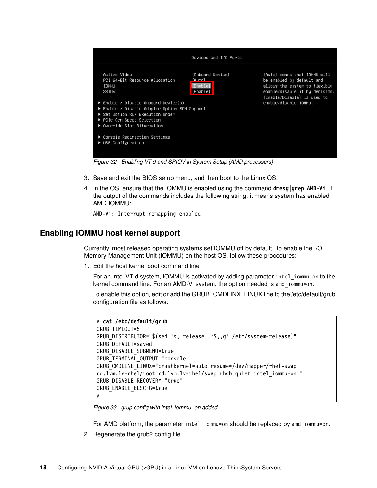

<span id="page-17-0"></span>*Figure 32 Enabling VT-d and SRIOV in System Setup (AMD processors)*

- 3. Save and exit the BIOS setup menu, and then boot to the Linux OS.
- 4. In the OS, ensure that the IOMMU is enabled using the command **dmesg|grep AMD-Vi**. If the output of the commands includes the following string, it means system has enabled AMD IOMMU:

AMD-Vi: Interrupt remapping enabled

#### **Enabling IOMMU host kernel support**

Currently, most released operating systems set IOMMU off by default. To enable the I/O Memory Management Unit (IOMMU) on the host OS, follow these procedures:

1. Edit the host kernel boot command line

For an Intel VT-d system, IOMMU is activated by adding parameter intel\_iommu=on to the kernel command line. For an AMD-Vi system, the option needed is amd\_iommu=on.

To enable this option, edit or add the GRUB\_CMDLINX\_LINUX line to the /etc/default/grub configuration file as follows:

```
# cat /etc/default/grub
GRUB_TIMEOUT=5
GRUB_DISTRIBUTOR="$(sed 's, release .*$,,g' /etc/system-release)"
GRUB_DEFAULT=saved
GRUB_DISABLE_SUBMENU=true
GRUB_TERMINAL_OUTPUT="console"
GRUB_CMDLINE_LINUX="crashkernel=auto resume=/dev/mapper/rhel-swap 
rd.lvm.lv=rhel/root rd.lvm.lv=rhel/swap rhgb quiet intel_iommu=on "
GRUB_DISABLE_RECOVERY="true"
GRUB_ENABLE_BLSCFG=true
#
```
*Figure 33 grup config with intel\_iommu=on added*

For AMD platform, the parameter intel iommu=on should be replaced by amd iommu=on.

2. Regenerate the grub2 config file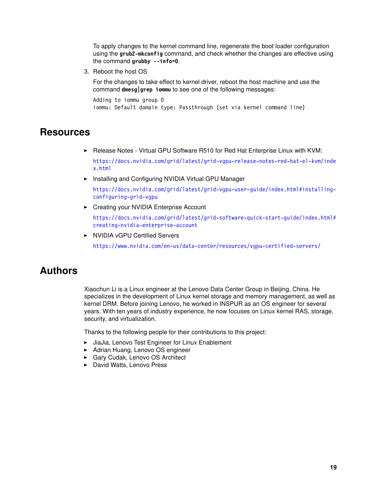To apply changes to the kernel command line, regenerate the boot loader configuration using the **grub2-mkconfig** command, and check whether the changes are effective using the command **grubby --info=0**.

3. Reboot the host OS

For the changes to take effect to kernel driver, reboot the host machine and use the command **dmesg|grep iommu** to see one of the following messages:

```
Adding to iommu group 0 
iommu: Default domain type: Passthrough (set via kernel command line)
```
#### <span id="page-18-0"></span>**Resources**

► Release Notes - Virtual GPU Software R510 for Red Hat Enterprise Linux with KVM:

[https://docs.nvidia.com/grid/latest/grid-vgpu-release-notes-red-hat-el-kvm/inde](https://docs.nvidia.com/grid/latest/grid-vgpu-release-notes-red-hat-el-kvm/index.html) [x.html](https://docs.nvidia.com/grid/latest/grid-vgpu-release-notes-red-hat-el-kvm/index.html)

- Installing and Configuring NVIDIA Virtual GPU Manager

[https://docs.nvidia.com/grid/latest/grid-vgpu-user-guide/index.html#installing](https://docs.nvidia.com/grid/latest/grid-vgpu-user-guide/index.html#installing-configuring-grid-vgpu)[configuring-grid-vgpu](https://docs.nvidia.com/grid/latest/grid-vgpu-user-guide/index.html#installing-configuring-grid-vgpu)

- Creating your NVIDIA Enterprise Account

[https://docs.nvidia.com/grid/latest/grid-software-quick-start-guide/index.html#](https://docs.nvidia.com/grid/latest/grid-software-quick-start-guide/index.html#creating-nvidia-enterprise-account) [creating-nvidia-enterprise-account](https://docs.nvidia.com/grid/latest/grid-software-quick-start-guide/index.html#creating-nvidia-enterprise-account)

► NVIDIA vGPU Certified Servers

<https://www.nvidia.com/en-us/data-center/resources/vgpu-certified-servers/>

### <span id="page-18-1"></span>**Authors**

Xiaochun Li is a Linux engineer at the Lenovo Data Center Group in Beijing, China. He specializes in the development of Linux kernel storage and memory management, as well as kernel DRM. Before joining Lenovo, he worked in INSPUR as an OS engineer for several years. With ten years of industry experience, he now focuses on Linux kernel RAS, storage, security, and virtualization.

Thanks to the following people for their contributions to this project:

- ► JiaJia, Lenovo Test Engineer for Linux Enablement
- ► Adrian Huang, Lenovo OS engineer
- ► Gary Cudak, Lenovo OS Architect
- ► David Watts, Lenovo Press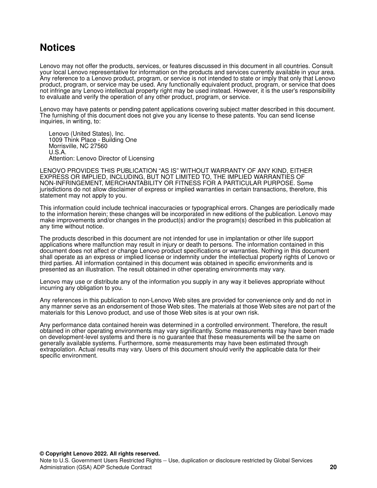## <span id="page-19-0"></span>**Notices**

Lenovo may not offer the products, services, or features discussed in this document in all countries. Consult your local Lenovo representative for information on the products and services currently available in your area. Any reference to a Lenovo product, program, or service is not intended to state or imply that only that Lenovo product, program, or service may be used. Any functionally equivalent product, program, or service that does not infringe any Lenovo intellectual property right may be used instead. However, it is the user's responsibility to evaluate and verify the operation of any other product, program, or service.

Lenovo may have patents or pending patent applications covering subject matter described in this document. The furnishing of this document does not give you any license to these patents. You can send license inquiries, in writing, to:

Lenovo (United States), Inc. 1009 Think Place - Building One Morrisville, NC 27560 U.S.A. Attention: Lenovo Director of Licensing

LENOVO PROVIDES THIS PUBLICATION "AS IS" WITHOUT WARRANTY OF ANY KIND, EITHER EXPRESS OR IMPLIED, INCLUDING, BUT NOT LIMITED TO, THE IMPLIED WARRANTIES OF NON-INFRINGEMENT, MERCHANTABILITY OR FITNESS FOR A PARTICULAR PURPOSE. Some jurisdictions do not allow disclaimer of express or implied warranties in certain transactions, therefore, this statement may not apply to you.

This information could include technical inaccuracies or typographical errors. Changes are periodically made to the information herein; these changes will be incorporated in new editions of the publication. Lenovo may make improvements and/or changes in the product(s) and/or the program(s) described in this publication at any time without notice.

The products described in this document are not intended for use in implantation or other life support applications where malfunction may result in injury or death to persons. The information contained in this document does not affect or change Lenovo product specifications or warranties. Nothing in this document shall operate as an express or implied license or indemnity under the intellectual property rights of Lenovo or third parties. All information contained in this document was obtained in specific environments and is presented as an illustration. The result obtained in other operating environments may vary.

Lenovo may use or distribute any of the information you supply in any way it believes appropriate without incurring any obligation to you.

Any references in this publication to non-Lenovo Web sites are provided for convenience only and do not in any manner serve as an endorsement of those Web sites. The materials at those Web sites are not part of the materials for this Lenovo product, and use of those Web sites is at your own risk.

Any performance data contained herein was determined in a controlled environment. Therefore, the result obtained in other operating environments may vary significantly. Some measurements may have been made on development-level systems and there is no guarantee that these measurements will be the same on generally available systems. Furthermore, some measurements may have been estimated through extrapolation. Actual results may vary. Users of this document should verify the applicable data for their specific environment.